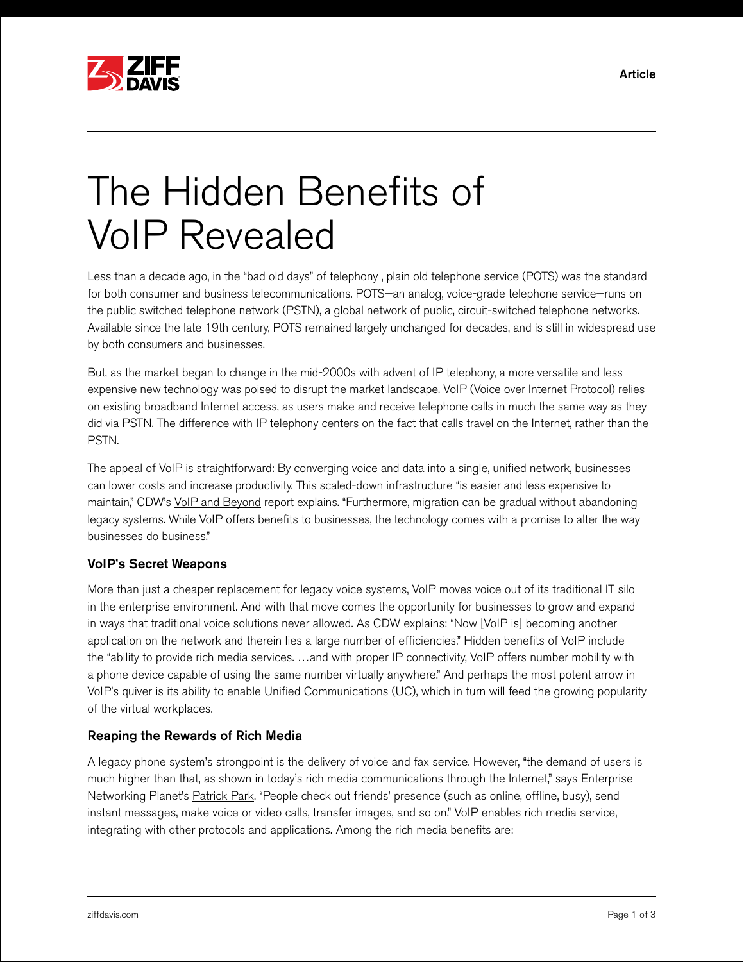

# The Hidden Benefits of VoIP Revealed

Less than a decade ago, in the "bad old days" of telephony , plain old telephone service (POTS) was the standard for both consumer and business telecommunications. POTS—an analog, voice-grade telephone service—runs on the public switched telephone network (PSTN), a global network of public, circuit-switched telephone networks. Available since the late 19th century, POTS remained largely unchanged for decades, and is still in widespread use by both consumers and businesses.

But, as the market began to change in the mid-2000s with advent of IP telephony, a more versatile and less expensive new technology was poised to disrupt the market landscape. VoIP (Voice over Internet Protocol) relies on existing broadband Internet access, as users make and receive telephone calls in much the same way as they did via PSTN. The difference with IP telephony centers on the fact that calls travel on the Internet, rather than the PSTN.

The appeal of VoIP is straightforward: By converging voice and data into a single, unified network, businesses can lower costs and increase productivity. This scaled-down infrastructure "is easier and less expensive to maintain," CDW's [VoIP and Beyond](http://webobjects.cdw.com/webobjects/media/pdf/solutions/voip-Whitepaper.pdf) report explains. "Furthermore, migration can be gradual without abandoning legacy systems. While VoIP offers benefits to businesses, the technology comes with a promise to alter the way businesses do business."

#### VoIP's Secret Weapons

More than just a cheaper replacement for legacy voice systems, VoIP moves voice out of its traditional IT silo in the enterprise environment. And with that move comes the opportunity for businesses to grow and expand in ways that traditional voice solutions never allowed. As CDW explains: "Now [VoIP is] becoming another application on the network and therein lies a large number of efficiencies." Hidden benefits of VoIP include the "ability to provide rich media services. …and with proper IP connectivity, VoIP offers number mobility with a phone device capable of using the same number virtually anywhere." And perhaps the most potent arrow in VoIP's quiver is its ability to enable Unified Communications (UC), which in turn will feed the growing popularity of the virtual workplaces.

#### Reaping the Rewards of Rich Media

A legacy phone system's strongpoint is the delivery of voice and fax service. However, "the demand of users is much higher than that, as shown in today's rich media communications through the Internet," says Enterprise Networking Planet's [Patrick Park](http://www.enterprisenetworkingplanet.com/unified_communications/eight-benefits-voip). "People check out friends' presence (such as online, offline, busy), send instant messages, make voice or video calls, transfer images, and so on." VoIP enables rich media service, integrating with other protocols and applications. Among the rich media benefits are: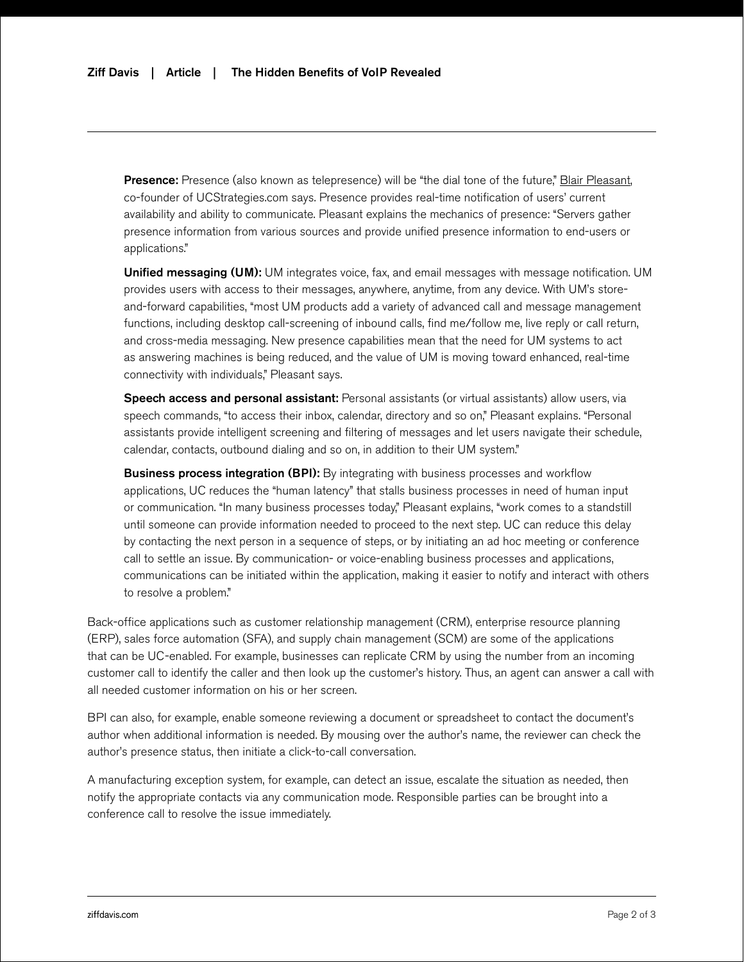Presence: Presence (also known as telepresence) will be "the dial tone of the future," [Blair Pleasant,](http://searchunifiedcommunications.techtarget.com/feature/What-UC-is-and-isnt) co-founder of UCStrategies.com says. Presence provides real-time notification of users' current availability and ability to communicate. Pleasant explains the mechanics of presence: "Servers gather presence information from various sources and provide unified presence information to end-users or applications."

Unified messaging (UM): UM integrates voice, fax, and email messages with message notification. UM provides users with access to their messages, anywhere, anytime, from any device. With UM's storeand-forward capabilities, "most UM products add a variety of advanced call and message management functions, including desktop call-screening of inbound calls, find me/follow me, live reply or call return, and cross-media messaging. New presence capabilities mean that the need for UM systems to act as answering machines is being reduced, and the value of UM is moving toward enhanced, real-time connectivity with individuals," Pleasant says.

Speech access and personal assistant: Personal assistants (or virtual assistants) allow users, via speech commands, "to access their inbox, calendar, directory and so on," Pleasant explains. "Personal assistants provide intelligent screening and filtering of messages and let users navigate their schedule, calendar, contacts, outbound dialing and so on, in addition to their UM system."

**Business process integration (BPI):** By integrating with business processes and workflow applications, UC reduces the "human latency" that stalls business processes in need of human input or communication. "In many business processes today," Pleasant explains, "work comes to a standstill until someone can provide information needed to proceed to the next step. UC can reduce this delay by contacting the next person in a sequence of steps, or by initiating an ad hoc meeting or conference call to settle an issue. By communication- or voice-enabling business processes and applications, communications can be initiated within the application, making it easier to notify and interact with others to resolve a problem."

Back-office applications such as customer relationship management (CRM), enterprise resource planning (ERP), sales force automation (SFA), and supply chain management (SCM) are some of the applications that can be UC-enabled. For example, businesses can replicate CRM by using the number from an incoming customer call to identify the caller and then look up the customer's history. Thus, an agent can answer a call with all needed customer information on his or her screen.

BPI can also, for example, enable someone reviewing a document or spreadsheet to contact the document's author when additional information is needed. By mousing over the author's name, the reviewer can check the author's presence status, then initiate a click-to-call conversation.

A manufacturing exception system, for example, can detect an issue, escalate the situation as needed, then notify the appropriate contacts via any communication mode. Responsible parties can be brought into a conference call to resolve the issue immediately.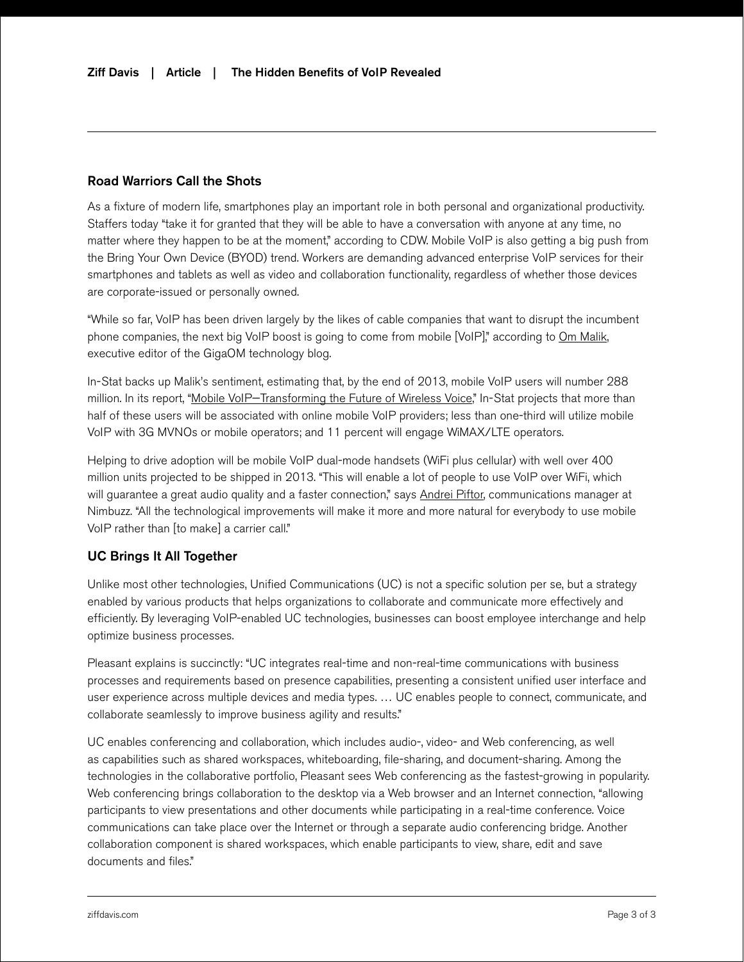### Road Warriors Call the Shots

As a fixture of modern life, smartphones play an important role in both personal and organizational productivity. Staffers today "take it for granted that they will be able to have a conversation with anyone at any time, no matter where they happen to be at the moment," according to CDW. Mobile VoIP is also getting a big push from the Bring Your Own Device (BYOD) trend. Workers are demanding advanced enterprise VoIP services for their smartphones and tablets as well as video and collaboration functionality, regardless of whether those devices are corporate-issued or personally owned.

"While so far, VoIP has been driven largely by the likes of cable companies that want to disrupt the incumbent phone companies, the next big VoIP boost is going to come from mobile [VoIP]," according to [Om Malik,](http://gigaom.com/2010/03/04/voip-subscribers-300-million/) executive editor of the GigaOM technology blog.

In-Stat backs up Malik's sentiment, estimating that, by the end of 2013, mobile VoIP users will number 288 million. In its report, ["Mobile VoIP—Transforming the Future of Wireless Voice,](http://www.instat.com/press.asp?ID=2747)" In-Stat projects that more than half of these users will be associated with online mobile VoIP providers; less than one-third will utilize mobile VoIP with 3G MVNOs or mobile operators; and 11 percent will engage WiMAX/LTE operators.

Helping to drive adoption will be mobile VoIP dual-mode handsets (WiFi plus cellular) with well over 400 million units projected to be shipped in 2013. "This will enable a lot of people to use VoIP over WiFi, which will guarantee a great audio quality and a faster connection," says [Andrei Piftor,](http://blog.nimbuzz.com/2010/03/05/voip-in-2013-trends-and-predictions/) communications manager at Nimbuzz. "All the technological improvements will make it more and more natural for everybody to use mobile VoIP rather than [to make] a carrier call."

#### UC Brings It All Together

Unlike most other technologies, Unified Communications (UC) is not a specific solution per se, but a strategy enabled by various products that helps organizations to collaborate and communicate more effectively and efficiently. By leveraging VoIP-enabled UC technologies, businesses can boost employee interchange and help optimize business processes.

Pleasant explains is succinctly: "UC integrates real-time and non-real-time communications with business processes and requirements based on presence capabilities, presenting a consistent unified user interface and user experience across multiple devices and media types. … UC enables people to connect, communicate, and collaborate seamlessly to improve business agility and results."

UC enables conferencing and collaboration, which includes audio-, video- and Web conferencing, as well as capabilities such as shared workspaces, whiteboarding, file-sharing, and document-sharing. Among the technologies in the collaborative portfolio, Pleasant sees Web conferencing as the fastest-growing in popularity. Web conferencing brings collaboration to the desktop via a Web browser and an Internet connection, "allowing participants to view presentations and other documents while participating in a real-time conference. Voice communications can take place over the Internet or through a separate audio conferencing bridge. Another collaboration component is shared workspaces, which enable participants to view, share, edit and save documents and files."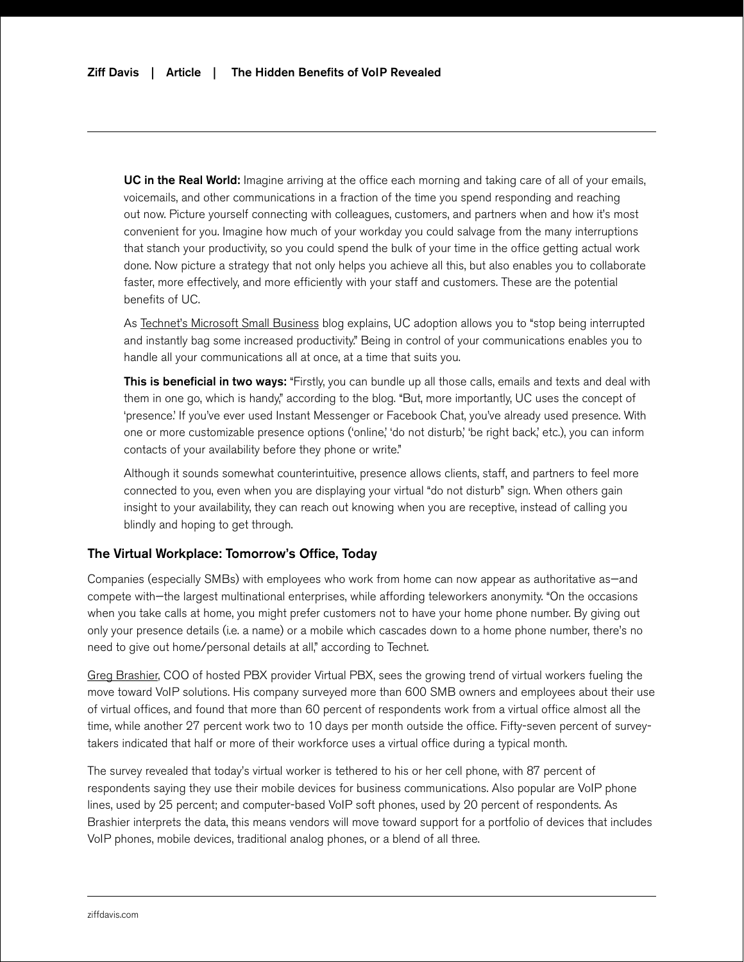UC in the Real World: Imagine arriving at the office each morning and taking care of all of your emails, voicemails, and other communications in a fraction of the time you spend responding and reaching out now. Picture yourself connecting with colleagues, customers, and partners when and how it's most convenient for you. Imagine how much of your workday you could salvage from the many interruptions that stanch your productivity, so you could spend the bulk of your time in the office getting actual work done. Now picture a strategy that not only helps you achieve all this, but also enables you to collaborate faster, more effectively, and more efficiently with your staff and customers. These are the potential benefits of UC.

As [Technet's Microsoft Small Business](http://blogs.technet.com/b/smallbusiness/archive/2012/06/01/demystifying-unified-communications-for-small-businesses.aspx) blog explains, UC adoption allows you to "stop being interrupted and instantly bag some increased productivity." Being in control of your communications enables you to handle all your communications all at once, at a time that suits you.

This is beneficial in two ways: "Firstly, you can bundle up all those calls, emails and texts and deal with them in one go, which is handy," according to the blog. "But, more importantly, UC uses the concept of 'presence.' If you've ever used Instant Messenger or Facebook Chat, you've already used presence. With one or more customizable presence options ('online,' 'do not disturb,' 'be right back,' etc.), you can inform contacts of your availability before they phone or write."

Although it sounds somewhat counterintuitive, presence allows clients, staff, and partners to feel more connected to you, even when you are displaying your virtual "do not disturb" sign. When others gain insight to your availability, they can reach out knowing when you are receptive, instead of calling you blindly and hoping to get through.

#### The Virtual Workplace: Tomorrow's Office, Today

Companies (especially SMBs) with employees who work from home can now appear as authoritative as—and compete with—the largest multinational enterprises, while affording teleworkers anonymity. "On the occasions when you take calls at home, you might prefer customers not to have your home phone number. By giving out only your presence details (i.e. a name) or a mobile which cascades down to a home phone number, there's no need to give out home/personal details at all," according to Technet.

[Greg Brashier](http://www.virtualpbx.com/company/press-releases/110308_surveyvirtualoffice.asp), COO of hosted PBX provider Virtual PBX, sees the growing trend of virtual workers fueling the move toward VoIP solutions. His company surveyed more than 600 SMB owners and employees about their use of virtual offices, and found that more than 60 percent of respondents work from a virtual office almost all the time, while another 27 percent work two to 10 days per month outside the office. Fifty-seven percent of surveytakers indicated that half or more of their workforce uses a virtual office during a typical month.

The survey revealed that today's virtual worker is tethered to his or her cell phone, with 87 percent of respondents saying they use their mobile devices for business communications. Also popular are VoIP phone lines, used by 25 percent; and computer-based VoIP soft phones, used by 20 percent of respondents. As Brashier interprets the data, this means vendors will move toward support for a portfolio of devices that includes VoIP phones, mobile devices, traditional analog phones, or a blend of all three.